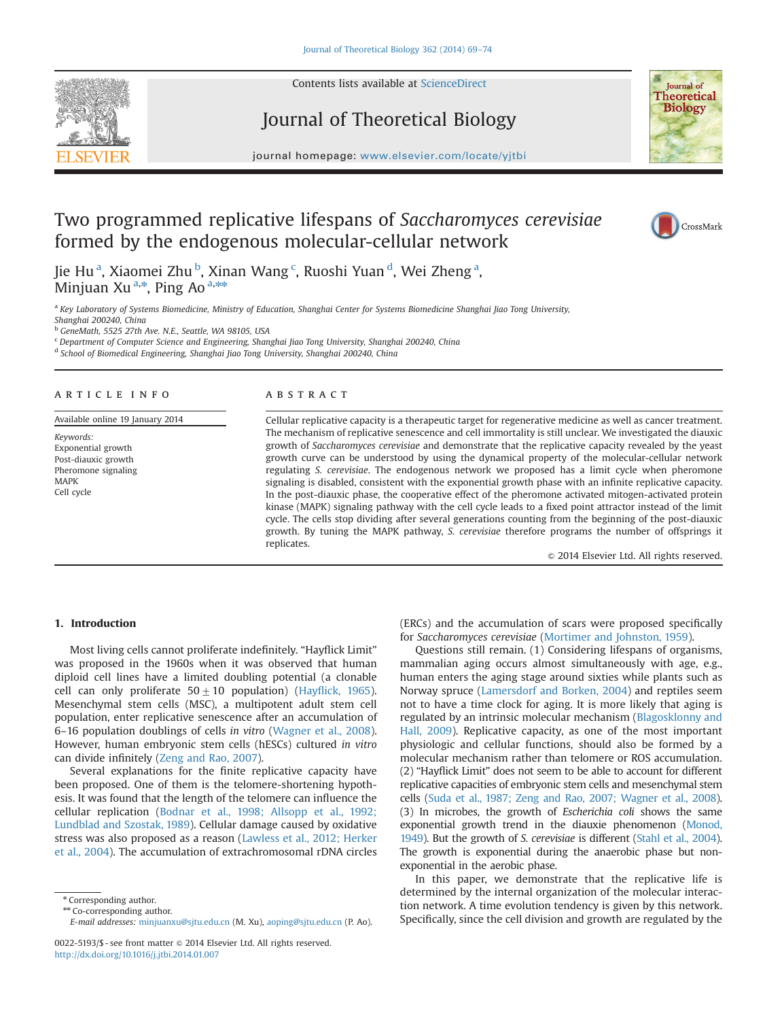Contents lists available at [ScienceDirect](www.sciencedirect.com/science/journal/00225193)

# Journal of Theoretical Biology



journal homepage: <www.elsevier.com/locate/yjtbi>

## Two programmed replicative lifespans of Saccharomyces cerevisiae formed by the endogenous molecular-cellular network



Jie Hu<sup>a</sup>, Xiaomei Zhu<sup>b</sup>, Xinan Wang<sup>c</sup>, Ruoshi Yuan<sup>d</sup>, Wei Zheng<sup>a</sup>, Minjuan Xu<sup>a,\*</sup>, Ping Ao <sup>a,\*\*</sup>

a Key Laboratory of Systems Biomedicine, Ministry of Education, Shanghai Center for Systems Biomedicine Shanghai Jiao Tong University, Shanghai 200240, China

<sup>b</sup> GeneMath, 5525 27th Ave. N.E., Seattle, WA 98105, USA

<sup>c</sup> Department of Computer Science and Engineering, Shanghai Jiao Tong University, Shanghai 200240, China

<sup>d</sup> School of Biomedical Engineering, Shanghai Jiao Tong University, Shanghai 200240, China

## article info

Available online 19 January 2014

Keywords: Exponential growth Post-diauxic growth Pheromone signaling MAPK Cell cycle

## **ABSTRACT**

Cellular replicative capacity is a therapeutic target for regenerative medicine as well as cancer treatment. The mechanism of replicative senescence and cell immortality is still unclear. We investigated the diauxic growth of Saccharomyces cerevisiae and demonstrate that the replicative capacity revealed by the yeast growth curve can be understood by using the dynamical property of the molecular-cellular network regulating S. cerevisiae. The endogenous network we proposed has a limit cycle when pheromone signaling is disabled, consistent with the exponential growth phase with an infinite replicative capacity. In the post-diauxic phase, the cooperative effect of the pheromone activated mitogen-activated protein kinase (MAPK) signaling pathway with the cell cycle leads to a fixed point attractor instead of the limit cycle. The cells stop dividing after several generations counting from the beginning of the post-diauxic growth. By tuning the MAPK pathway, S. cerevisiae therefore programs the number of offsprings it replicates.

 $@$  2014 Elsevier Ltd. All rights reserved.

## 1. Introduction

Most living cells cannot proliferate indefinitely. "Hayflick Limit" was proposed in the 1960s when it was observed that human diploid cell lines have a limited doubling potential (a clonable cell can only proliferate  $50\pm10$  population) (Hayfl[ick, 1965\)](#page-5-0). Mesenchymal stem cells (MSC), a multipotent adult stem cell population, enter replicative senescence after an accumulation of 6–16 population doublings of cells in vitro [\(Wagner et al., 2008\)](#page-5-0). However, human embryonic stem cells (hESCs) cultured in vitro can divide infinitely [\(Zeng and Rao, 2007\)](#page-5-0).

Several explanations for the finite replicative capacity have been proposed. One of them is the telomere-shortening hypothesis. It was found that the length of the telomere can influence the cellular replication ([Bodnar et al., 1998; Allsopp et al., 1992;](#page-5-0) [Lundblad and Szostak, 1989\)](#page-5-0). Cellular damage caused by oxidative stress was also proposed as a reason ([Lawless et al., 2012; Herker](#page-5-0) [et al., 2004](#page-5-0)). The accumulation of extrachromosomal rDNA circles

\* Corresponding author.

\*\* Co-corresponding author.

(ERCs) and the accumulation of scars were proposed specifically for Saccharomyces cerevisiae ([Mortimer and Johnston, 1959\)](#page-5-0).

Questions still remain. (1) Considering lifespans of organisms, mammalian aging occurs almost simultaneously with age, e.g., human enters the aging stage around sixties while plants such as Norway spruce ([Lamersdorf and Borken, 2004\)](#page-5-0) and reptiles seem not to have a time clock for aging. It is more likely that aging is regulated by an intrinsic molecular mechanism ([Blagosklonny and](#page-5-0) [Hall, 2009](#page-5-0)). Replicative capacity, as one of the most important physiologic and cellular functions, should also be formed by a molecular mechanism rather than telomere or ROS accumulation. (2) "Hayflick Limit" does not seem to be able to account for different replicative capacities of embryonic stem cells and mesenchymal stem cells ([Suda et al., 1987; Zeng and Rao, 2007; Wagner et al., 2008\)](#page-5-0). (3) In microbes, the growth of Escherichia coli shows the same exponential growth trend in the diauxie phenomenon ([Monod,](#page-5-0) [1949](#page-5-0)). But the growth of S. cerevisiae is different [\(Stahl et al., 2004\)](#page-5-0). The growth is exponential during the anaerobic phase but nonexponential in the aerobic phase.

In this paper, we demonstrate that the replicative life is determined by the internal organization of the molecular interaction network. A time evolution tendency is given by this network. Specifically, since the cell division and growth are regulated by the

E-mail addresses: [minjuanxu@sjtu.edu.cn](mailto:minjuanxu@sjtu.edu.cn) (M. Xu), [aoping@sjtu.edu.cn](mailto:aoping@sjtu.edu.cn) (P. Ao).

<sup>0022-5193/\$ -</sup> see front matter @ 2014 Elsevier Ltd. All rights reserved. <http://dx.doi.org/10.1016/j.jtbi.2014.01.007>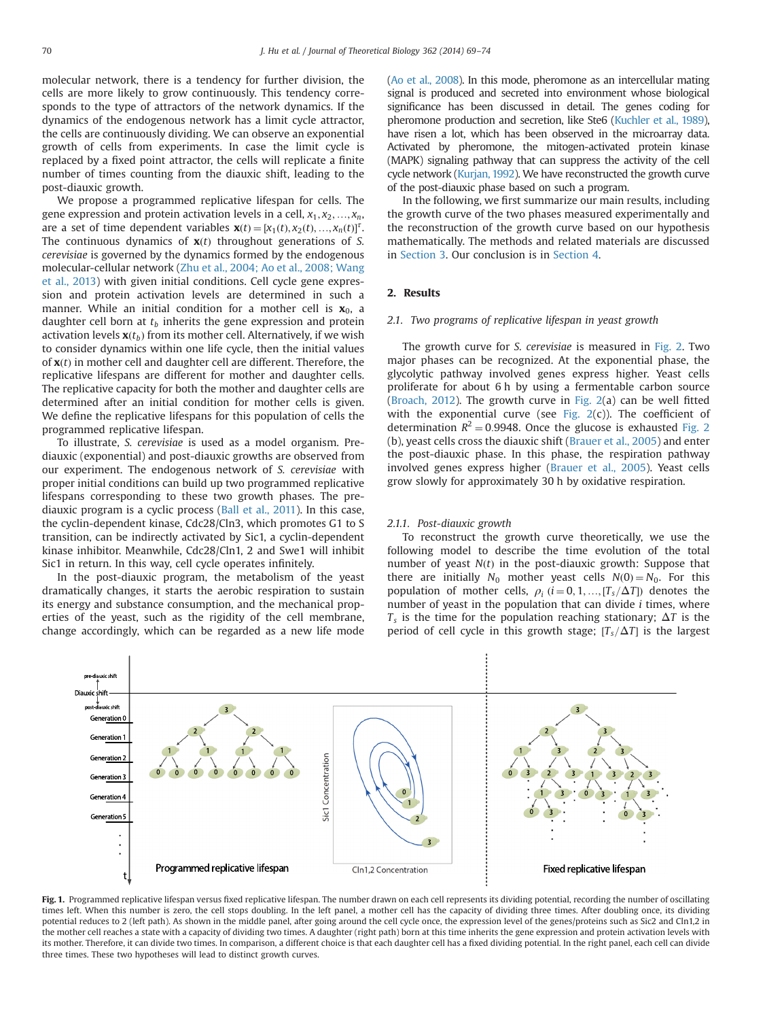<span id="page-1-0"></span>molecular network, there is a tendency for further division, the cells are more likely to grow continuously. This tendency corresponds to the type of attractors of the network dynamics. If the dynamics of the endogenous network has a limit cycle attractor, the cells are continuously dividing. We can observe an exponential growth of cells from experiments. In case the limit cycle is replaced by a fixed point attractor, the cells will replicate a finite number of times counting from the diauxic shift, leading to the post-diauxic growth.

We propose a programmed replicative lifespan for cells. The gene expression and protein activation levels in a cell,  $x_1, x_2, ..., x_n$ , are a set of time dependent variables  $\mathbf{x}(t) = [x_1(t), x_2(t), ..., x_n(t)]^T$ .<br>The continuous dynamics of  $\mathbf{x}(t)$  throughout generations of S The continuous dynamics of  $x(t)$  throughout generations of S. cerevisiae is governed by the dynamics formed by the endogenous molecular-cellular network [\(Zhu et al., 2004; Ao et al., 2008; Wang](#page-5-0) [et al., 2013\)](#page-5-0) with given initial conditions. Cell cycle gene expression and protein activation levels are determined in such a manner. While an initial condition for a mother cell is  $x_0$ , a daughter cell born at  $t<sub>b</sub>$  inherits the gene expression and protein activation levels  $\mathbf{x}(t_h)$  from its mother cell. Alternatively, if we wish to consider dynamics within one life cycle, then the initial values of  $\mathbf{x}(t)$  in mother cell and daughter cell are different. Therefore, the replicative lifespans are different for mother and daughter cells. The replicative capacity for both the mother and daughter cells are determined after an initial condition for mother cells is given. We define the replicative lifespans for this population of cells the programmed replicative lifespan.

To illustrate, S. cerevisiae is used as a model organism. Prediauxic (exponential) and post-diauxic growths are observed from our experiment. The endogenous network of S. cerevisiae with proper initial conditions can build up two programmed replicative lifespans corresponding to these two growth phases. The prediauxic program is a cyclic process [\(Ball et al., 2011\)](#page-5-0). In this case, the cyclin-dependent kinase, Cdc28/Cln3, which promotes G1 to S transition, can be indirectly activated by Sic1, a cyclin-dependent kinase inhibitor. Meanwhile, Cdc28/Cln1, 2 and Swe1 will inhibit Sic1 in return. In this way, cell cycle operates infinitely.

In the post-diauxic program, the metabolism of the yeast dramatically changes, it starts the aerobic respiration to sustain its energy and substance consumption, and the mechanical properties of the yeast, such as the rigidity of the cell membrane, change accordingly, which can be regarded as a new life mode [\(Ao et al., 2008](#page-5-0)). In this mode, pheromone as an intercellular mating signal is produced and secreted into environment whose biological significance has been discussed in detail. The genes coding for pheromone production and secretion, like Ste6 ([Kuchler et al., 1989](#page-5-0)), have risen a lot, which has been observed in the microarray data. Activated by pheromone, the mitogen-activated protein kinase (MAPK) signaling pathway that can suppress the activity of the cell cycle network [\(Kurjan, 1992\)](#page-5-0). We have reconstructed the growth curve of the post-diauxic phase based on such a program.

In the following, we first summarize our main results, including the growth curve of the two phases measured experimentally and the reconstruction of the growth curve based on our hypothesis mathematically. The methods and related materials are discussed in [Section 3](#page-2-0). Our conclusion is in [Section 4](#page-4-0).

## 2. Results

#### 2.1. Two programs of replicative lifespan in yeast growth

The growth curve for S. cerevisiae is measured in [Fig. 2](#page-2-0). Two major phases can be recognized. At the exponential phase, the glycolytic pathway involved genes express higher. Yeast cells proliferate for about 6 h by using a fermentable carbon source ([Broach, 2012\)](#page-5-0). The growth curve in [Fig. 2](#page-2-0)(a) can be well fitted with the exponential curve (see Fig.  $2(c)$ ). The coefficient of determination  $R^2 = 0.9948$ . Once the glucose is exhausted [Fig. 2](#page-2-0) (b), yeast cells cross the diauxic shift [\(Brauer et al., 2005\)](#page-5-0) and enter the post-diauxic phase. In this phase, the respiration pathway involved genes express higher ([Brauer et al., 2005](#page-5-0)). Yeast cells grow slowly for approximately 30 h by oxidative respiration.

#### 2.1.1. Post-diauxic growth

To reconstruct the growth curve theoretically, we use the following model to describe the time evolution of the total number of yeast  $N(t)$  in the post-diauxic growth: Suppose that there are initially  $N_0$  mother yeast cells  $N(0) = N_0$ . For this population of mother cells,  $\rho_i$  ( $i = 0, 1, ..., [T_s/\Delta T]$ ) denotes the number of vexet in the population that can divide *i* times where number of yeast in the population that can divide  $i$  times, where  $T_s$  is the time for the population reaching stationary;  $\Delta T$  is the period of cell cycle in this growth stage;  $[T_s/\Delta T]$  is the largest



Fig. 1. Programmed replicative lifespan versus fixed replicative lifespan. The number drawn on each cell represents its dividing potential, recording the number of oscillating times left. When this number is zero, the cell stops doubling. In the left panel, a mother cell has the capacity of dividing three times. After doubling once, its dividing potential reduces to 2 (left path). As shown in the middle panel, after going around the cell cycle once, the expression level of the genes/proteins such as Sic2 and Cln1,2 in the mother cell reaches a state with a capacity of dividing two times. A daughter (right path) born at this time inherits the gene expression and protein activation levels with its mother. Therefore, it can divide two times. In comparison, a different choice is that each daughter cell has a fixed dividing potential. In the right panel, each cell can divide three times. These two hypotheses will lead to distinct growth curves.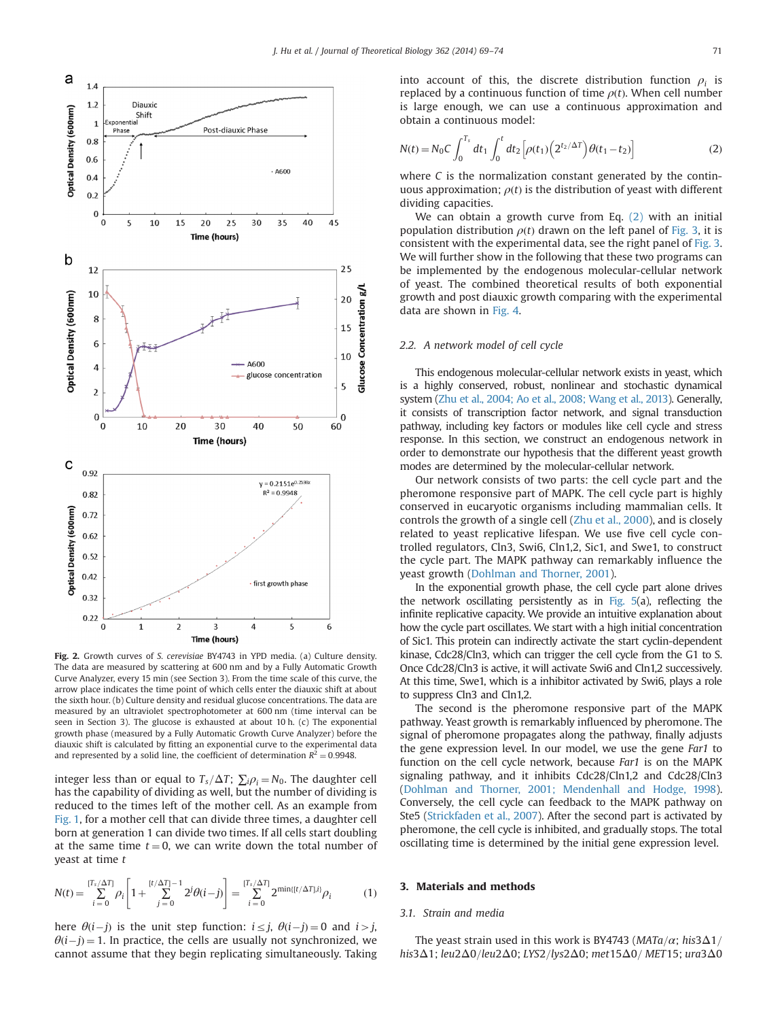<span id="page-2-0"></span>

Fig. 2. Growth curves of S. cerevisiae BY4743 in YPD media. (a) Culture density. The data are measured by scattering at 600 nm and by a Fully Automatic Growth Curve Analyzer, every 15 min (see Section 3). From the time scale of this curve, the arrow place indicates the time point of which cells enter the diauxic shift at about the sixth hour. (b) Culture density and residual glucose concentrations. The data are measured by an ultraviolet spectrophotometer at 600 nm (time interval can be seen in Section 3). The glucose is exhausted at about 10 h. (c) The exponential growth phase (measured by a Fully Automatic Growth Curve Analyzer) before the diauxic shift is calculated by fitting an exponential curve to the experimental data and represented by a solid line, the coefficient of determination  $R^2 = 0.9948$ .

integer less than or equal to  $T_s/\Delta T$ ;  $\sum_i \rho_i = N_0$ . The daughter cell has the capability of dividing as well, but the number of dividing is reduced to the times left of the mother cell. As an example from [Fig. 1,](#page-1-0) for a mother cell that can divide three times, a daughter cell born at generation 1 can divide two times. If all cells start doubling at the same time  $t = 0$ , we can write down the total number of yeast at time t

$$
N(t) = \sum_{i=0}^{[T_s/\Delta T]} \rho_i \left[ 1 + \sum_{j=0}^{[t/\Delta T]-1} 2^j \theta(i-j) \right] = \sum_{i=0}^{[T_s/\Delta T]} 2^{\min\{[t/\Delta T], i\}} \rho_i \tag{1}
$$

here  $\theta(i-j)$  is the unit step function:  $i \leq j$ ,  $\theta(i-j) = 0$  and  $i > j$ ,  $\theta(i-j) = 1$ . In practice, the cells are usually not synchronized, we cannot assume that they begin replicating simultaneously. Taking into account of this, the discrete distribution function  $\rho_i$  is replaced by a continuous function of time  $\rho(t)$ . When cell number is large enough, we can use a continuous approximation and obtain a continuous model:

$$
N(t) = N_0 C \int_0^{T_s} dt_1 \int_0^t dt_2 \left[ \rho(t_1) \left( 2^{t_2/\Delta T} \right) \theta(t_1 - t_2) \right]
$$
 (2)

where C is the normalization constant generated by the continuous approximation;  $\rho(t)$  is the distribution of yeast with different dividing capacities.

We can obtain a growth curve from Eq. (2) with an initial population distribution  $\rho(t)$  drawn on the left panel of [Fig. 3,](#page-3-0) it is consistent with the experimental data, see the right panel of [Fig. 3.](#page-3-0) We will further show in the following that these two programs can be implemented by the endogenous molecular-cellular network of yeast. The combined theoretical results of both exponential growth and post diauxic growth comparing with the experimental data are shown in [Fig. 4](#page-3-0).

## 2.2. A network model of cell cycle

This endogenous molecular-cellular network exists in yeast, which is a highly conserved, robust, nonlinear and stochastic dynamical system ([Zhu et al., 2004; Ao et al., 2008; Wang et al., 2013](#page-5-0)). Generally, it consists of transcription factor network, and signal transduction pathway, including key factors or modules like cell cycle and stress response. In this section, we construct an endogenous network in order to demonstrate our hypothesis that the different yeast growth modes are determined by the molecular-cellular network.

Our network consists of two parts: the cell cycle part and the pheromone responsive part of MAPK. The cell cycle part is highly conserved in eucaryotic organisms including mammalian cells. It controls the growth of a single cell ([Zhu et al., 2000](#page-5-0)), and is closely related to yeast replicative lifespan. We use five cell cycle controlled regulators, Cln3, Swi6, Cln1,2, Sic1, and Swe1, to construct the cycle part. The MAPK pathway can remarkably influence the yeast growth [\(Dohlman and Thorner, 2001](#page-5-0)).

In the exponential growth phase, the cell cycle part alone drives the network oscillating persistently as in [Fig. 5\(](#page-4-0)a), reflecting the infinite replicative capacity. We provide an intuitive explanation about how the cycle part oscillates. We start with a high initial concentration of Sic1. This protein can indirectly activate the start cyclin-dependent kinase, Cdc28/Cln3, which can trigger the cell cycle from the G1 to S. Once Cdc28/Cln3 is active, it will activate Swi6 and Cln1,2 successively. At this time, Swe1, which is a inhibitor activated by Swi6, plays a role to suppress Cln3 and Cln1,2.

The second is the pheromone responsive part of the MAPK pathway. Yeast growth is remarkably influenced by pheromone. The signal of pheromone propagates along the pathway, finally adjusts the gene expression level. In our model, we use the gene Far1 to function on the cell cycle network, because Far1 is on the MAPK signaling pathway, and it inhibits Cdc28/Cln1,2 and Cdc28/Cln3 [\(Dohlman and Thorner, 2001; Mendenhall and Hodge, 1998\)](#page-5-0). Conversely, the cell cycle can feedback to the MAPK pathway on Ste5 [\(Strickfaden et al., 2007\)](#page-5-0). After the second part is activated by pheromone, the cell cycle is inhibited, and gradually stops. The total oscillating time is determined by the initial gene expression level.

#### 3. Materials and methods

## 3.1. Strain and media

The yeast strain used in this work is BY4743 ( $MATa/\alpha$ ; his3 $\Delta$ 1/ his3 $\Delta$ 1; leu2 $\Delta$ 0/leu2 $\Delta$ 0; LYS2/lys2 $\Delta$ 0; met15 $\Delta$ 0/ MET15; ura3 $\Delta$ 0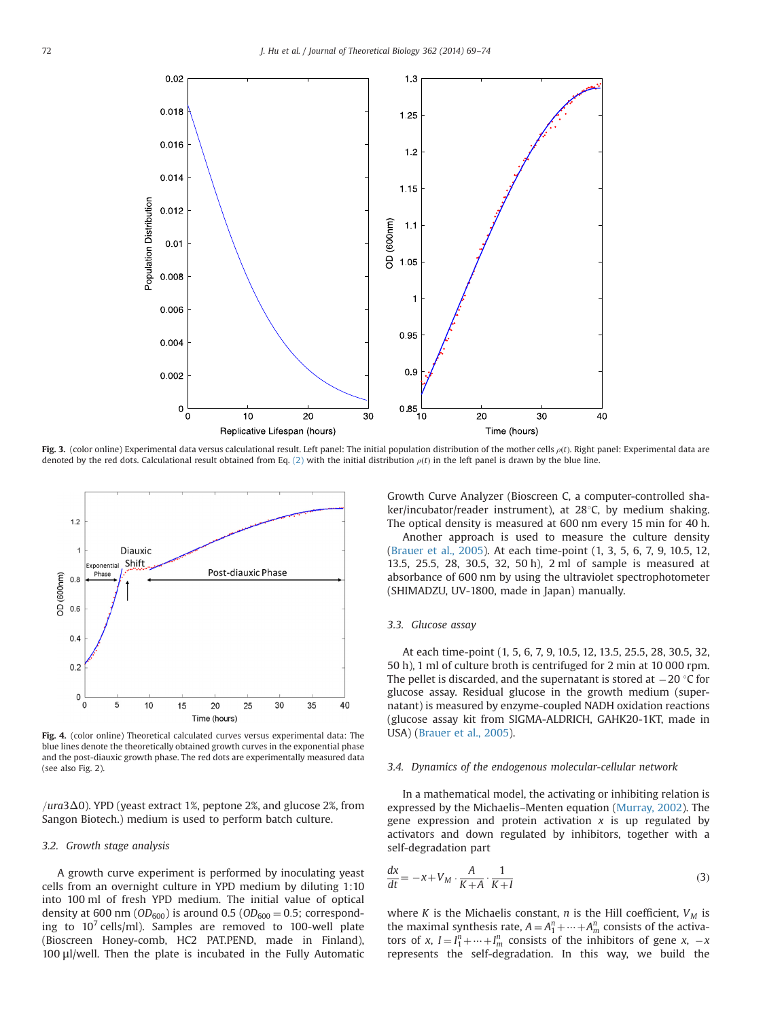<span id="page-3-0"></span>

Fig. 3. (color online) Experimental data versus calculational result. Left panel: The initial population distribution of the mother cells  $\rho(t)$ . Right panel: Experimental data are denoted by the red dots. Calculational result obtained from Eq. [\(2\)](#page-2-0) with the initial distribution  $\rho(t)$  in the left panel is drawn by the blue line.



Fig. 4. (color online) Theoretical calculated curves versus experimental data: The blue lines denote the theoretically obtained growth curves in the exponential phase and the post-diauxic growth phase. The red dots are experimentally measured data (see also Fig. 2).

 $/ura3\Delta 0$ ). YPD (yeast extract 1%, peptone 2%, and glucose 2%, from Sangon Biotech.) medium is used to perform batch culture.

## 3.2. Growth stage analysis

A growth curve experiment is performed by inoculating yeast cells from an overnight culture in YPD medium by diluting 1:10 into 100 ml of fresh YPD medium. The initial value of optical density at 600 nm ( $OD<sub>600</sub>$ ) is around 0.5 ( $OD<sub>600</sub> = 0.5$ ; corresponding to  $10^7$  cells/ml). Samples are removed to 100-well plate (Bioscreen Honey-comb, HC2 PAT.PEND, made in Finland), 100 μl/well. Then the plate is incubated in the Fully Automatic Growth Curve Analyzer (Bioscreen C, a computer-controlled shaker/incubator/reader instrument), at  $28^{\circ}$ C, by medium shaking. The optical density is measured at 600 nm every 15 min for 40 h. Another approach is used to measure the culture density ([Brauer et al., 2005](#page-5-0)). At each time-point (1, 3, 5, 6, 7, 9, 10.5, 12, 13.5, 25.5, 28, 30.5, 32, 50 h), 2 ml of sample is measured at absorbance of 600 nm by using the ultraviolet spectrophotometer (SHIMADZU, UV-1800, made in Japan) manually.

## 3.3. Glucose assay

At each time-point (1, 5, 6, 7, 9, 10.5, 12, 13.5, 25.5, 28, 30.5, 32, 50 h), 1 ml of culture broth is centrifuged for 2 min at 10 000 rpm. The pellet is discarded, and the supernatant is stored at  $-20$  °C for glucose assay. Residual glucose in the growth medium (supernatant) is measured by enzyme-coupled NADH oxidation reactions (glucose assay kit from SIGMA-ALDRICH, GAHK20-1KT, made in USA) [\(Brauer et al., 2005](#page-5-0)).

## 3.4. Dynamics of the endogenous molecular-cellular network

In a mathematical model, the activating or inhibiting relation is expressed by the Michaelis–Menten equation [\(Murray, 2002](#page-5-0)). The gene expression and protein activation  $x$  is up regulated by activators and down regulated by inhibitors, together with a self-degradation part

$$
\frac{dx}{dt} = -x + V_M \cdot \frac{A}{K+A} \cdot \frac{1}{K+I}
$$
\n(3)

where K is the Michaelis constant, n is the Hill coefficient,  $V_M$  is the maximal synthesis rate,  $A = A_1^n + \dots + A_m^n$  consists of the activa-<br>tors of  $x, l = l^n + \dots + l^n$  consists of the inhibitors of gene  $x$ tors of x,  $I = I_1^n + \dots + I_m^n$  consists of the inhibitors of gene x,  $-x$  represents the self-degred iting. In this way we huild the represents the self-degradation. In this way, we build the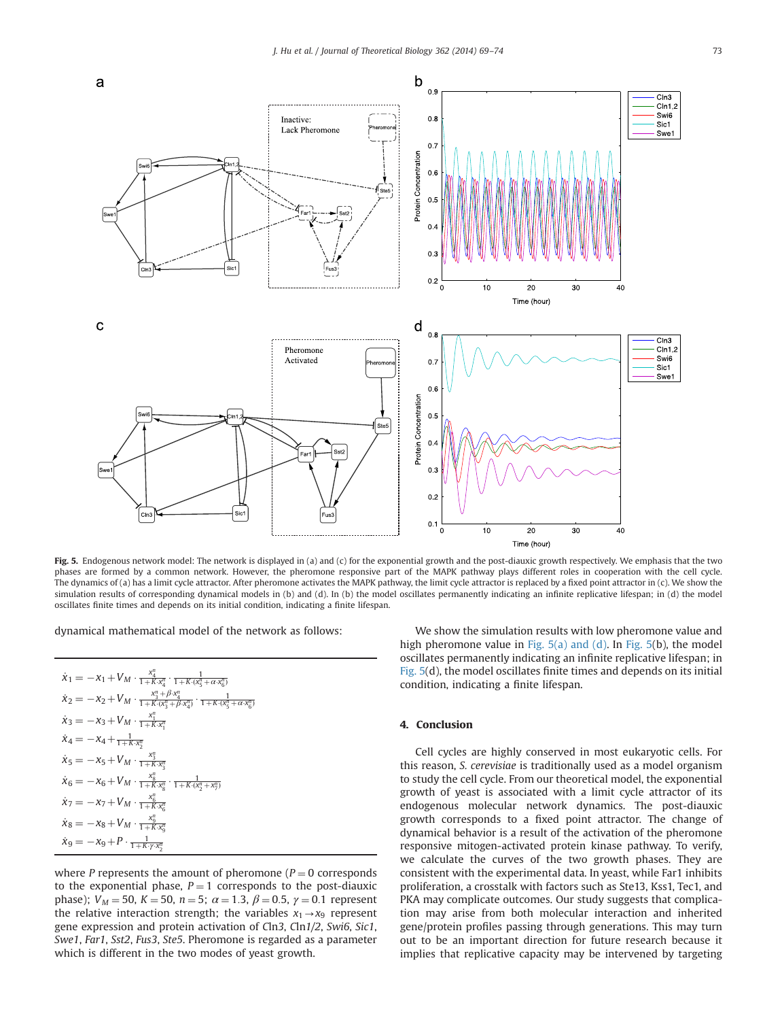<span id="page-4-0"></span>

Fig. 5. Endogenous network model: The network is displayed in (a) and (c) for the exponential growth and the post-diauxic growth respectively. We emphasis that the two phases are formed by a common network. However, the pheromone responsive part of the MAPK pathway plays different roles in cooperation with the cell cycle. The dynamics of (a) has a limit cycle attractor. After pheromone activates the MAPK pathway, the limit cycle attractor is replaced by a fixed point attractor in (c). We show the simulation results of corresponding dynamical models in (b) and (d). In (b) the model oscillates permanently indicating an infinite replicative lifespan; in (d) the model oscillates finite times and depends on its initial condition, indicating a finite lifespan.

dynamical mathematical model of the network as follows:

| $\dot{x}_1 = -x_1 + V_M \cdot \frac{x_4^n}{1 + K \cdot x_4^n} \cdot \frac{1}{1 + K \cdot (x_5^n + \alpha \cdot x_6^n)}$                         |
|-------------------------------------------------------------------------------------------------------------------------------------------------|
| $\dot{x}_2 = -x_2 + V_M \cdot \frac{x_3^n + \beta x_4^n}{1 + K \cdot (x_3^n + \beta x_4^n)} \cdot \frac{1}{1 + K \cdot (x_4^n + \alpha x_6^n)}$ |
| $\dot{x}_3 = -x_3 + V_M \cdot \frac{x_1^n}{1 + K \cdot x_1^n}$                                                                                  |
| $\dot{x}_4 = -x_4 + \frac{1}{1 + K \cdot x_2^n}$                                                                                                |
| $\dot{x}_5 = -x_5 + V_M \cdot \frac{x_3^n}{1 + K \cdot x_1^n}$                                                                                  |
| $\dot{x}_6 = -x_6 + V_M \cdot \frac{x_8^n}{1 + K \cdot x_8^n} \cdot \frac{1}{1 + K \cdot (x_3^n + x_7^n)}$                                      |
| $\dot{x}_7 = -x_7 + V_M \cdot \frac{x_6^u}{1 + K \cdot x_6^u}$                                                                                  |
| $\dot{x}_8 = -x_8 + V_M \cdot \frac{x_9^n}{1 + K \cdot x^n}$                                                                                    |
| $\dot{x}_9 = -x_9 + P \cdot \frac{1}{1 + K \cdot \gamma \cdot x_2^n}$                                                                           |

where P represents the amount of pheromone ( $P = 0$  corresponds to the exponential phase,  $P = 1$  corresponds to the post-diauxic phase);  $V_M = 50$ ,  $K = 50$ ,  $n = 5$ ;  $\alpha = 1.3$ ,  $\beta = 0.5$ ,  $\gamma = 0.1$  represent the relative interaction strength; the variables  $x_1 \rightarrow x_9$  represent gene expression and protein activation of Cln3, Cln1/2, Swi6, Sic1, Swe1, Far1, Sst2, Fus3, Ste5. Pheromone is regarded as a parameter which is different in the two modes of yeast growth.

We show the simulation results with low pheromone value and high pheromone value in Fig. 5(a) and (d). In Fig. 5(b), the model oscillates permanently indicating an infinite replicative lifespan; in Fig. 5(d), the model oscillates finite times and depends on its initial condition, indicating a finite lifespan.

## 4. Conclusion

Cell cycles are highly conserved in most eukaryotic cells. For this reason, S. cerevisiae is traditionally used as a model organism to study the cell cycle. From our theoretical model, the exponential growth of yeast is associated with a limit cycle attractor of its endogenous molecular network dynamics. The post-diauxic growth corresponds to a fixed point attractor. The change of dynamical behavior is a result of the activation of the pheromone responsive mitogen-activated protein kinase pathway. To verify, we calculate the curves of the two growth phases. They are consistent with the experimental data. In yeast, while Far1 inhibits proliferation, a crosstalk with factors such as Ste13, Kss1, Tec1, and PKA may complicate outcomes. Our study suggests that complication may arise from both molecular interaction and inherited gene/protein profiles passing through generations. This may turn out to be an important direction for future research because it implies that replicative capacity may be intervened by targeting